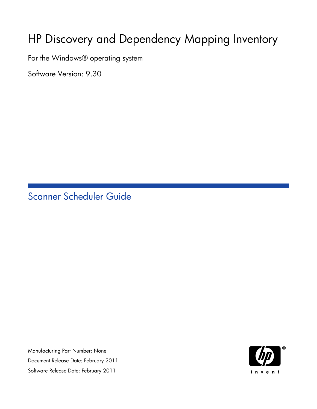# HP Discovery and Dependency Mapping Inventory

For the Windows® operating system

Software Version: 9.30

Scanner Scheduler Guide

Manufacturing Part Number: None Document Release Date: February 2011 Software Release Date: February 2011

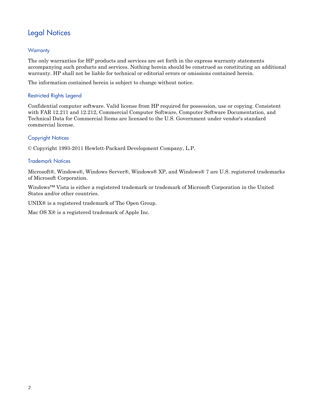### Legal Notices

### **Warranty**

The only warranties for HP products and services are set forth in the express warranty statements accompanying such products and services. Nothing herein should be construed as constituting an additional warranty. HP shall not be liable for technical or editorial errors or omissions contained herein.

The information contained herein is subject to change without notice.

#### Restricted Rights Legend

Confidential computer software. Valid license from HP required for possession, use or copying. Consistent with FAR 12.211 and 12.212, Commercial Computer Software, Computer Software Documentation, and Technical Data for Commercial Items are licensed to the U.S. Government under vendor's standard commercial license.

### Copyright Notices

© Copyright 1993-2011 Hewlett-Packard Development Company, L.P.

#### Trademark Notices

Microsoft®, Windows®, Windows Server®, Windows® XP, and Windows® 7 are U.S. registered trademarks of Microsoft Corporation.

Windows™ Vista is either a registered trademark or trademark of Microsoft Corporation in the United States and/or other countries.

UNIX<sup>®</sup> is a registered trademark of The Open Group.

Mac OS X® is a registered trademark of Apple Inc.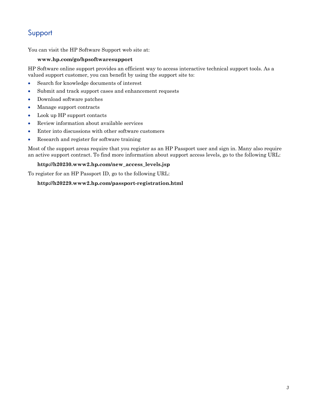### Support

You can visit the HP Software Support web site at:

#### **www.hp.com/go/hpsoftwaresupport**

HP Software online support provides an efficient way to access interactive technical support tools. As a valued support customer, you can benefit by using the support site to:

- Search for knowledge documents of interest
- Submit and track support cases and enhancement requests
- Download software patches
- Manage support contracts
- Look up HP support contacts
- Review information about available services
- Enter into discussions with other software customers
- Research and register for software training

Most of the support areas require that you register as an HP Passport user and sign in. Many also require an active support contract. To find more information about support access levels, go to the following URL:

#### **http://h20230.www2.hp.com/new\_access\_levels.jsp**

To register for an HP Passport ID, go to the following URL:

#### **http://h20229.www2.hp.com/passport-registration.html**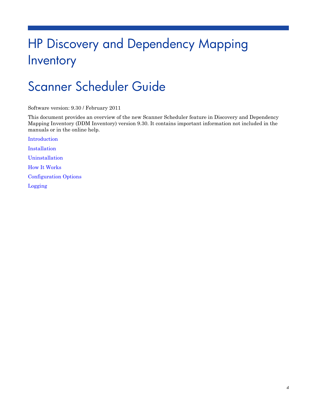# HP Discovery and Dependency Mapping Inventory

# Scanner Scheduler Guide

Software version: 9.30 / February 2011

This document provides an overview of the new Scanner Scheduler feature in Discovery and Dependency Mapping Inventory (DDM Inventory) version 9.30. It contains important information not included in the manuals or in the online help.

[Introduction](#page-4-0) [Installation](#page-5-0) [Uninstallation](#page-7-0) [How It Works](#page-8-0) [Configuration Options](#page-9-0) [Logging](#page-11-0)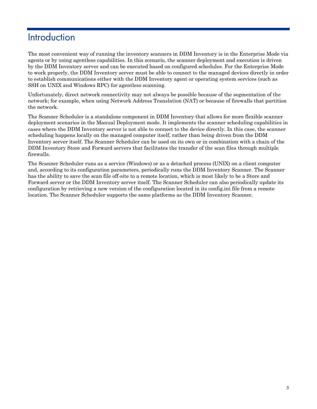## <span id="page-4-0"></span>**Introduction**

The most convenient way of running the inventory scanners in DDM Inventory is in the Enterprise Mode via agents or by using agentless capabilities. In this scenario, the scanner deployment and execution is driven by the DDM Inventory server and can be executed based on configured schedules. For the Enterprise Mode to work properly, the DDM Inventory server must be able to connect to the managed devices directly in order to establish communications either with the DDM Inventory agent or operating system services (such as SSH on UNIX and Windows RPC) for agentless scanning.

Unfortunately, direct network connectivity may not always be possible because of the segmentation of the network; for example, when using Network Address Translation (NAT) or because of firewalls that partition the network.

The Scanner Scheduler is a standalone component in DDM Inventory that allows for more flexible scanner deployment scenarios in the Manual Deployment mode. It implements the scanner scheduling capabilities in cases where the DDM Inventory server is not able to connect to the device directly. In this case, the scanner scheduling happens locally on the managed computer itself, rather than being driven from the DDM Inventory server itself. The Scanner Scheduler can be used on its own or in combination with a chain of the DDM Inventory Store and Forward servers that facilitates the transfer of the scan files through multiple firewalls.

The Scanner Scheduler runs as a service (Windows) or as a detached process (UNIX) on a client computer and, according to its configuration parameters, periodically runs the DDM Inventory Scanner. The Scanner has the ability to save the scan file off-site to a remote location, which is most likely to be a Store and Forward server or the DDM Inventory server itself. The Scanner Scheduler can also periodically update its configuration by retrieving a new version of the configuration located in its config.ini file from a remote location. The Scanner Scheduler supports the same platforms as the DDM Inventory Scanner.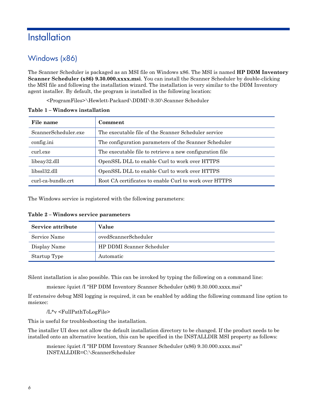## <span id="page-5-0"></span>**Installation**

### Windows (x86)

The Scanner Scheduler is packaged as an MSI file on Windows x86. The MSI is named **HP DDM Inventory Scanner Scheduler (x86) 9.30.000.xxxx.msi**. You can install the Scanner Scheduler by double-clicking the MSI file and following the installation wizard. The installation is very similar to the DDM Inventory agent installer. By default, the program is installed in the following location:

<ProgramFiles>\Hewlett-Packard\DDMI\9.30\Scanner Scheduler

| File name            | Comment                                                  |
|----------------------|----------------------------------------------------------|
| ScannerScheduler.exe | The executable file of the Scanner Scheduler service     |
| config.ini           | The configuration parameters of the Scanner Scheduler    |
| curl.exe             | The executable file to retrieve a new configuration file |
| libeay32.dll         | OpenSSL DLL to enable Curl to work over HTTPS            |
| libssl32.dll         | OpenSSL DLL to enable Curl to work over HTTPS            |
| curl-ca-bundle.crt   | Root CA certificates to enable Curl to work over HTTPS   |

#### **Table 1 – Windows installation**

The Windows service is registered with the following parameters:

| Service attribute | Value                     |
|-------------------|---------------------------|
| Service Name      | ovedScannerScheduler      |
| Display Name      | HP DDMI Scanner Scheduler |
| Startup Type      | Automatic                 |

Silent installation is also possible. This can be invoked by typing the following on a command line:

msiexec /quiet /I "HP DDM Inventory Scanner Scheduler (x86) 9.30.000.xxxx.msi"

If extensive debug MSI logging is required, it can be enabled by adding the following command line option to msiexec:

/L\*v <FullPathToLogFile>

This is useful for troubleshooting the installation.

The installer UI does not allow the default installation directory to be changed. If the product needs to be installed onto an alternative location, this can be specified in the INSTALLDIR MSI property as follows:

msiexec /quiet /I "HP DDM Inventory Scanner Scheduler (x86) 9.30.000.xxxx*.*msi" INSTALLDIR=C:\ScannerScheduler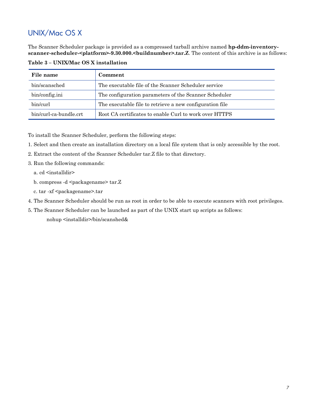### UNIX/Mac OS X

The Scanner Scheduler package is provided as a compressed tarball archive named **hp-ddm-inventoryscanner-scheduler-<platform>-9.30.000.<buildnumber>.tar.Z**. The content of this archive is as follows:

| File name              | Comment                                                  |
|------------------------|----------------------------------------------------------|
| bin/scansched          | The executable file of the Scanner Scheduler service     |
| bin/config.ini         | The configuration parameters of the Scanner Scheduler    |
| bin/curl               | The executable file to retrieve a new configuration file |
| bin/curl-ca-bundle.crt | Root CA certificates to enable Curl to work over HTTPS   |

**Table 3 – UNIX/Mac OS X installation**

To install the Scanner Scheduler, perform the following steps:

- 1. Select and then create an installation directory on a local file system that is only accessible by the root.
- 2. Extract the content of the Scanner Scheduler tar.Z file to that directory.
- 3. Run the following commands:
	- a. cd <installdir>
	- b. compress  $-d$   $\leq$  packagename $\geq$  tar. $Z$
	- c. tar -xf <packagename>.tar
- 4. The Scanner Scheduler should be run as root in order to be able to execute scanners with root privileges.
- 5. The Scanner Scheduler can be launched as part of the UNIX start up scripts as follows:

nohup <installdir>/bin/scanshed&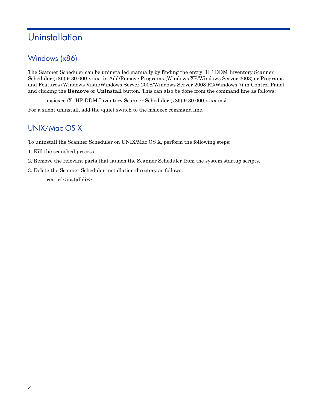# <span id="page-7-0"></span>**Uninstallation**

### Windows (x86)

The Scanner Scheduler can be uninstalled manually by finding the entry "HP DDM Inventory Scanner Scheduler (x86) 9.30.000.xxxx" in Add/Remove Programs (Windows XP/Windows Server 2003) or Programs and Features (Windows Vista/Windows Server 2008/Windows Server 2008 R2/Windows 7) in Control Panel and clicking the **Remove** or **Uninstall** button. This can also be done from the command line as follows:

msiexec /X "HP DDM Inventory Scanner Scheduler (x86) 9.30.000.xxxx.msi"

For a silent uninstall, add the /quiet switch to the msiexec command line.

### UNIX/Mac OS X

To uninstall the Scanner Scheduler on UNIX/Mac OS X, perform the following steps:

- 1. Kill the scanshed process.
- 2. Remove the relevant parts that launch the Scanner Scheduler from the system startup scripts.
- 3. Delete the Scanner Scheduler installation directory as follows:

rm –rf <installdir>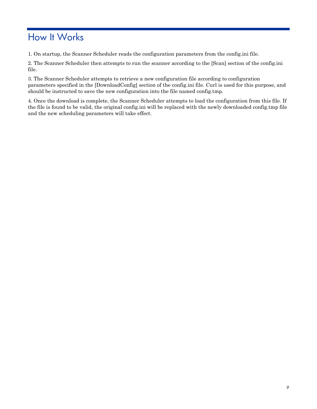# <span id="page-8-0"></span>How It Works

1. On startup, the Scanner Scheduler reads the configuration parameters from the config.ini file.

2. The Scanner Scheduler then attempts to run the scanner according to the [Scan] section of the config.ini file.

3. The Scanner Scheduler attempts to retrieve a new configuration file according to configuration parameters specified in the [DownloadConfig] section of the config.ini file. Curl is used for this purpose, and should be instructed to save the new configuration into the file named config.tmp.

4. Once the download is complete, the Scanner Scheduler attempts to load the configuration from this file. If the file is found to be valid, the original config.ini will be replaced with the newly downloaded config.tmp file and the new scheduling parameters will take effect.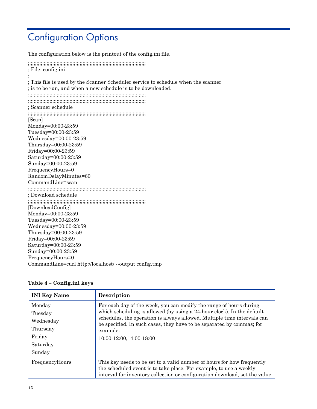# <span id="page-9-0"></span>Configuration Options

The configuration below is the printout of the config.ini file. ;;;;;;;;;;;;;;;;;;;;;;;;;;;;;;;;;;;;;;;;;;;;;;;;;;;;;;;;;;;;;;;;;;;;;;;;;;;;;;;;;; ; File: config.ini ; ; This file is used by the Scanner Scheduler service to schedule when the scanner ; is to be run, and when a new schedule is to be downloaded. ;;;;;;;;;;;;;;;;;;;;;;;;;;;;;;;;;;;;;;;;;;;;;;;;;;;;;;;;;;;;;;;;;;;;;;;;;;;;;;;;;; ;;;;;;;;;;;;;;;;;;;;;;;;;;;;;;;;;;;;;;;;;;;;;;;;;;;;;;;;;;;;;;;;;;;;;;;;;;;;;;;;;; ; Scanner schedule ;;;;;;;;;;;;;;;;;;;;;;;;;;;;;;;;;;;;;;;;;;;;;;;;;;;;;;;;;;;;;;;;;;;;;;;;;;;;;;;;;; [Scan] Monday=00:00-23:59 Tuesday=00:00-23:59 Wednesday=00:00-23:59 Thursday=00:00-23:59 Friday=00:00-23:59 Saturday=00:00-23:59 Sunday=00:00-23:59 FrequencyHours=0 RandomDelayMinutes=60 CommandLine=scan ;;;;;;;;;;;;;;;;;;;;;;;;;;;;;;;;;;;;;;;;;;;;;;;;;;;;;;;;;;;;;;;;;;;;;;;;;;;;;;;;;; ; Download schedule ;;;;;;;;;;;;;;;;;;;;;;;;;;;;;;;;;;;;;;;;;;;;;;;;;;;;;;;;;;;;;;;;;;;;;;;;;;;;;;;;;; [DownloadConfig] Monday=00:00-23:59 Tuesday=00:00-23:59 Wednesday=00:00-23:59 Thursday=00:00-23:59 Friday=00:00-23:59 Saturday=00:00-23:59 Sunday=00:00-23:59 FrequencyHours=0 CommandLine=curl http://localhost/ --output config.tmp

### **Table 4 – Config.ini keys**

| <b>INI Key Name</b>                                                        | Description                                                                                                                                                                                                                                                                                                                             |
|----------------------------------------------------------------------------|-----------------------------------------------------------------------------------------------------------------------------------------------------------------------------------------------------------------------------------------------------------------------------------------------------------------------------------------|
| Monday<br>Tuesday<br>Wednesday<br>Thursday<br>Friday<br>Saturday<br>Sunday | For each day of the week, you can modify the range of hours during<br>which scheduling is allowed (by using a 24-hour clock). In the default<br>schedules, the operation is always allowed. Multiple time intervals can<br>be specified. In such cases, they have to be separated by commas; for<br>example:<br>10:00-12:00,14:00-18:00 |
| FrequencyHours                                                             | This key needs to be set to a valid number of hours for how frequently<br>the scheduled event is to take place. For example, to use a weekly<br>interval for inventory collection or configuration download, set the value                                                                                                              |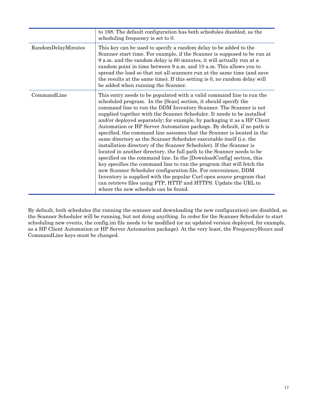|                    | to 168. The default configuration has both schedules disabled, as the<br>scheduling frequency is set to 0.                                                                                                                                                                                                                                                                                                                                                                                                                                                                                                                                                                                                                                                                                                                                                                                                                                                                                                                                                                                                                                          |
|--------------------|-----------------------------------------------------------------------------------------------------------------------------------------------------------------------------------------------------------------------------------------------------------------------------------------------------------------------------------------------------------------------------------------------------------------------------------------------------------------------------------------------------------------------------------------------------------------------------------------------------------------------------------------------------------------------------------------------------------------------------------------------------------------------------------------------------------------------------------------------------------------------------------------------------------------------------------------------------------------------------------------------------------------------------------------------------------------------------------------------------------------------------------------------------|
| RandomDelayMinutes | This key can be used to specify a random delay to be added to the<br>Scanner start time. For example, if the Scanner is supposed to be run at<br>9 a.m. and the random delay is 60 minutes, it will actually run at a<br>random point in time between 9 a.m. and 10 a.m. This allows you to<br>spread the load so that not all scanners run at the same time (and save<br>the results at the same time). If this setting is 0, no random delay will<br>be added when running the Scanner.                                                                                                                                                                                                                                                                                                                                                                                                                                                                                                                                                                                                                                                           |
| CommandLine        | This entry needs to be populated with a valid command line to run the<br>scheduled program. In the [Scan] section, it should specify the<br>command line to run the DDM Inventory Scanner. The Scanner is not<br>supplied together with the Scanner Scheduler. It needs to be installed<br>and/or deployed separately; for example, by packaging it as a HP Client<br>Automation or HP Server Automation package. By default, if no path is<br>specified, the command line assumes that the Scanner is located in the<br>same directory as the Scanner Scheduler executable itself (i.e. the<br>installation directory of the Scanner Scheduler). If the Scanner is<br>located in another directory, the full path to the Scanner needs to be<br>specified on the command line. In the [DownloadConfig] section, this<br>key specifies the command line to run the program that will fetch the<br>new Scanner Scheduler configuration file. For convenience, DDM<br>Inventory is supplied with the popular Curl open source program that<br>can retrieve files using FTP, HTTP and HTTPS. Update the URL to<br>where the new schedule can be found. |

By default, both schedules (for running the scanner and downloading the new configuration) are disabled, so the Scanner Scheduler will be running, but not doing anything. In order for the Scanner Scheduler to start scheduling new events, the config.ini file needs to be modified (or an updated version deployed, for example, as a HP Client Automation or HP Server Automation package). At the very least, the FrequencyHours and CommandLine keys must be changed.